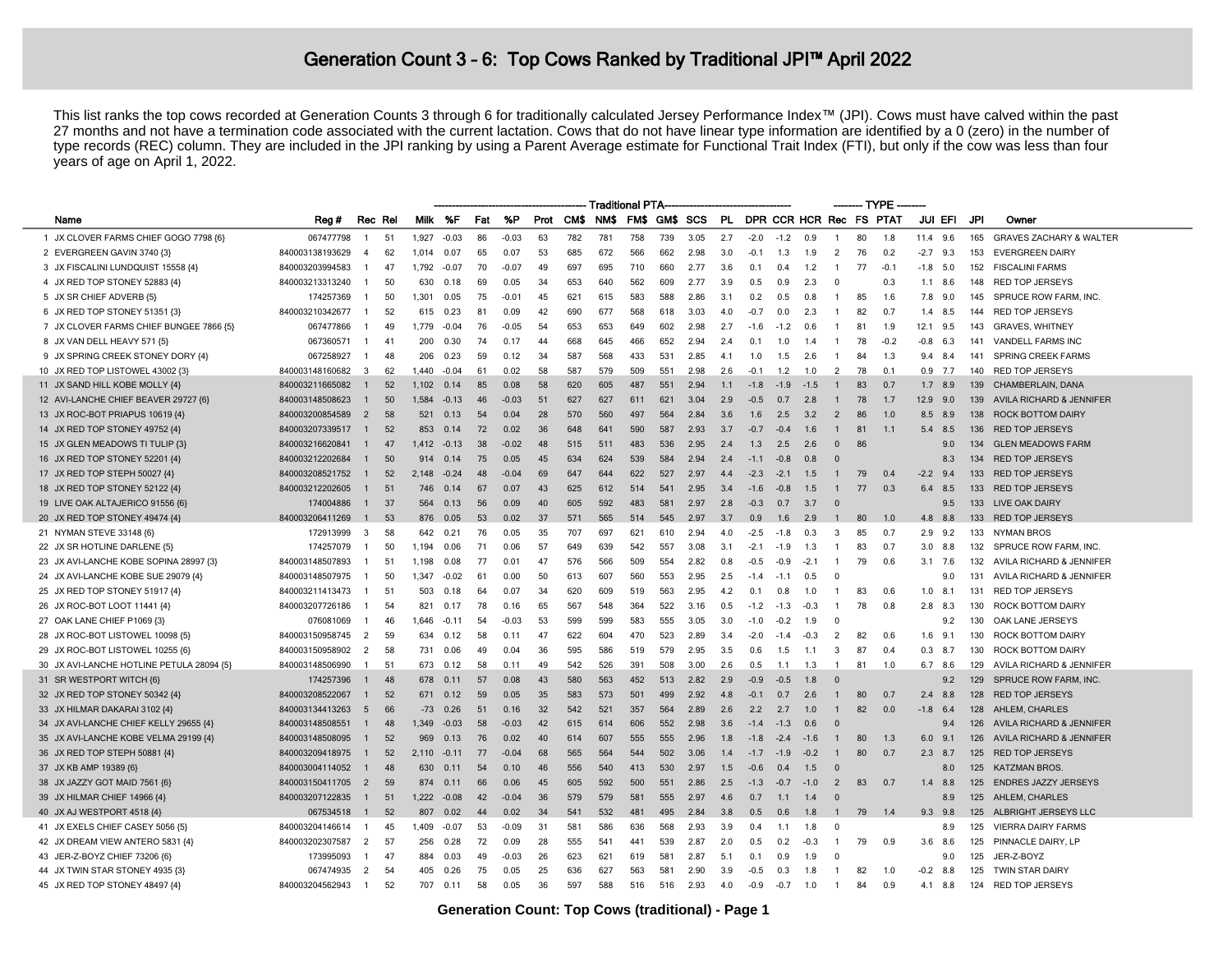## Generation Count 3 - 6: Top Cows Ranked by Traditional JPI<sup>™</sup> April 2022

This list ranks the top cows recorded at Generation Counts 3 through 6 for traditionally calculated Jersey Performance Index™ (JPI). Cows must have calved within the past 27 months and not have a termination code associated with the current lactation. Cows that do not have linear type information are identified by a 0 (zero) in the number of type records (REC) column. They are included in the JPI ranking by using a Parent Average estimate for Functional Trait Index (FTI), but only if the cow was less than four years of age on April 1, 2022.

|                                           |                 |                |    |         |               |     |         |      |      | <b>Traditional PTA</b> |               |     |      |     |        |        |        |                | -TYPE |                         |           |                |     |                                    |
|-------------------------------------------|-----------------|----------------|----|---------|---------------|-----|---------|------|------|------------------------|---------------|-----|------|-----|--------|--------|--------|----------------|-------|-------------------------|-----------|----------------|-----|------------------------------------|
| Name                                      | Reg #           | Rec Rel        |    | Milk %F |               | Fat | %P      | Prot | CM\$ | NM\$                   | FM\$ GM\$ SCS |     |      | PL. |        |        |        |                |       | DPR CCR HCR Rec FS PTAT |           | JUI EFI        | JPI | Owner                              |
| 1 JX CLOVER FARMS CHIEF GOGO 7798 {6}     | 067477798       | $\mathbf{1}$   | 51 | 1,927   | $-0.03$       | 86  | $-0.03$ | 63   | 782  | 781                    | 758           | 739 | 3.05 | 2.7 | $-2.0$ | $-1.2$ | 0 9    | -1             | 80    | 1.8                     | 11.4 9.6  |                | 165 | <b>GRAVES ZACHARY &amp; WALTER</b> |
| 2 EVERGREEN GAVIN 3740 {3}                | 840003138193629 | $\overline{4}$ | 62 | 1.014   | 0.07          | 65  | 0.07    | 53   | 685  | 672                    | 566           | 662 | 2.98 | 3.0 | $-0.1$ | 1.3    | 1.9    | $\overline{2}$ | 76    | 0.2                     | $-2.7$    | 9.3            | 153 | <b>EVERGREEN DAIRY</b>             |
| 3 JX FISCALINI LUNDQUIST 15558 {4}        | 840003203994583 | -1             | 47 | 1,792   | $-0.07$       | 70  | $-0.07$ | 49   | 697  | 695                    | 710           | 660 | 2.77 | 3.6 | 0.1    | 0.4    | 1.2    |                | 77    | $-0.1$                  | $-1.8$    | 5.0            | 152 | <b>FISCALINI FARMS</b>             |
| 4 JX RED TOP STONEY 52883 {4}             | 840003213313240 | -1             | 50 | 630     | 0.18          | 69  | 0.05    | 34   | 653  | 640                    | 562           | 609 | 2.77 | 3.9 | 0.5    | 0.9    | 2.3    | $\Omega$       |       | 0.3                     |           | 1.1 8.6        | 148 | <b>RED TOP JERSEYS</b>             |
| 5 JX SR CHIEF ADVERB (5)                  | 174257369       | $\mathbf{1}$   | 50 | 1.301   | 0.05          | 75  | $-0.01$ | 45   | 621  | 615                    | 583           | 588 | 2.86 | 3.1 | 0.2    | 0.5    | 0.8    | $\overline{1}$ | 85    | 1.6                     |           | 7.8 9.0        | 145 | SPRUCE ROW FARM, INC.              |
| 6 JX RED TOP STONEY 51351 {3}             | 840003210342677 | $\overline{1}$ | 52 | 615     | 0.23          | 81  | 0.09    | 42   | 690  | 677                    | 568           | 618 | 3.03 | 4.0 | $-0.7$ | 0.0    | 23     | $\overline{1}$ | 82    | 0 7                     | 1.4       | 8.5            | 144 | <b>RED TOP JERSEYS</b>             |
| 7 JX CLOVER FARMS CHIEF BUNGEE 7866 {5}   | 067477866       | -1             | 49 | 1.779   | -0.04         | 76  | $-0.05$ | 54   | 653  | 653                    | 649           | 602 | 2.98 | 2.7 | $-1.6$ | $-1.2$ | 06.    | $\mathbf{1}$   | 81    | 1.9                     | 12.1      | 9.5            | 143 | <b>GRAVES, WHITNEY</b>             |
| 8 JX VAN DELL HEAVY 571 {5}               | 067360571       | $\mathbf{1}$   | 41 | 200     | 0.30          | 74  | 0.17    | 44   | 668  | 645                    | 466           | 652 | 2.94 | 2.4 | 0.1    | 1.0    | 1.4    | -1             | 78    | $-0.2$                  | $-0.8$    | 6.3            | 141 | <b>VANDELL FARMS INC</b>           |
| 9 JX SPRING CREEK STONEY DORY {4}         | 067258927       | -1             | 48 | 206     | 0.23          | 59  | 0.12    | 34   | 587  | 568                    | 433           | 531 | 2.85 | 4.1 | 1.0    | 1.5    | 2.6    | -1             | 84    | 1.3                     | 9.4       | -8.4           | 141 | SPRING CREEK FARMS                 |
| 10 JX RED TOP LISTOWEL 43002 {3}          | 840003148160682 | $\mathbf{3}$   | 62 | 1.440   | -0.04         | 61  | 0.02    | 58   | 587  | 579                    | 509           | 551 | 2.98 | 2.6 | $-0.1$ | 1.2    | 1 O    | $\overline{2}$ | 78    | 0.1                     |           | $0.9$ 7.7      | 140 | <b>RED TOP JERSEYS</b>             |
| 11 JX SAND HILL KOBE MOLLY {4}            | 840003211665082 | -1             | 52 | 1.102   | 0.14          | 85  | 0.08    | 58   | 620  | 605                    | 487           | 551 | 2.94 | 1.1 | $-1.8$ | $-1.9$ | $-1.5$ |                | 83    | 0. 7                    |           | $1.7$ 8.9      | 139 | CHAMBERLAIN, DANA                  |
| 12 AVI-LANCHE CHIEF BEAVER 29727 {6}      | 840003148508623 | -1             | 50 | 1.584   | $-0.13$       | 46  | $-0.03$ | 51   | 627  | 627                    | 611           | 621 | 3.04 | 2.9 | $-0.5$ | 0.7    | 2.8    |                | 78    | 1.7                     | 12.9      | 9.0            | 139 | AVILA RICHARD & JENNIFER           |
| 13 JX ROC-BOT PRIAPUS 10619 {4}           | 840003200854589 | $\overline{2}$ | 58 | 521     | 0.13          | 54  | 0.04    | 28   | 570  | 560                    | 497           | 564 | 2.84 | 3.6 | 1.6    | 2.5    | 3.2    | $\overline{2}$ | 86    | 1.0                     |           | 8.5 8.9        | 138 | <b>ROCK BOTTOM DAIRY</b>           |
| 14 JX RED TOP STONEY 49752 {4}            | 840003207339517 |                | 52 | 853     | 0.14          | 72  | 0.02    | 36   | 648  | 641                    | 590           | 587 | 2.93 | 3.7 | $-0.7$ | $-0.4$ | 1.6    |                | 81    | 1.1                     | 5.4       | 8.5            | 136 | <b>RED TOP JERSEYS</b>             |
| 15 JX GLEN MEADOWS TI TULIP {3}           | 840003216620841 | -1             | 47 | 1.412   | $-0.13$       | 38  | $-0.02$ | 48   | 515  | 511                    | 483           | 536 | 2.95 | 2.4 | 1.3    | 2.5    | 2.6    | $\Omega$       | 86    |                         |           | 9.0            | 134 | <b>GLEN MEADOWS FARM</b>           |
| 16 JX RED TOP STONEY 52201 {4}            | 840003212202684 |                | 50 | 914     | 0.14          | 75  | 0.05    | 45   | 634  | 624                    | 539           | 584 | 294  | 2.4 | $-1.1$ | -0.8   | 0.8    | $\Omega$       |       |                         |           | 8.3            | 134 | <b>RED TOP JERSEYS</b>             |
| 17 JX RED TOP STEPH 50027 {4}             | 840003208521752 | -1             | 52 | 2.148   | $-0.24$       | 48  | $-0.04$ | 69   | 647  | 644                    | 622           | 527 | 2.97 | 4.4 | $-2.3$ | $-2.1$ | 1.5    |                | 79    | 0.4                     | $-2.2$    | 94             | 133 | <b>RED TOP JERSEYS</b>             |
| 18 JX RED TOP STONEY 52122 {4}            | 840003212202605 | $\overline{1}$ | 51 | 746     | 0.14          | 67  | 0.07    | 43   | 625  | 612                    | 514           | 541 | 2.95 | 3.4 | $-1.6$ | $-0.8$ | 1.5    |                | 77    | 0.3                     |           | 6.4 8.5        | 133 | <b>RED TOP JERSEYS</b>             |
| 19 LIVE OAK ALTAJERICO 91556 {6}          | 174004886       | -1             | 37 | 564     | 0.13          | 56  | 0.09    | 40   | 605  | 592                    | 483           | 581 | 2.97 | 2.8 | $-0.3$ | 0.7    | 3.7    | $\Omega$       |       |                         |           | 9.5            | 133 | <b>LIVE OAK DAIRY</b>              |
| 20 JX RED TOP STONEY 49474 {4}            | 840003206411269 | -1             | 53 | 876     | 0.05          | 53  | 0.02    | 37   | 571  | 565                    | 514           | 545 | 2.97 | 3.7 | 0.9    | 1.6    | 2.9    | -1             | 80    | 1.0                     | 4.8       | 8.8            | 133 | <b>RED TOP JERSEYS</b>             |
| 21 NYMAN STEVE 33148 {6}                  | 172913999       | 3              | 58 | 642     | $0.2^{\circ}$ | 76  | 0.05    | 35   | 707  | 697                    | 621           | 610 | 2.94 | 4.0 | $-2.5$ | $-1.8$ |        | -3             | 85    | 0.7                     | 2.9       | 9.2            | 133 | <b>NYMAN BROS</b>                  |
| 22 JX SR HOTLINE DARLENE {5}              | 174257079       | -1             | 50 | 1.194   | 0.06          | 71  | 0.06    | 57   | 649  | 639                    | 542           | 557 | 3.08 | 3.1 | $-2.1$ | $-1.9$ | 1.3    | -1             | 83    | 0.7                     |           | $3.0\quad 8.8$ | 132 | SPRUCE ROW FARM, INC.              |
| 23 JX AVI-LANCHE KOBE SOPINA 28997 {3}    | 840003148507893 | $\overline{1}$ | 51 | 1.198   | 0.08          | 77  | 0.01    | 47   | 576  | 566                    | 509           | 554 | 2.82 | 0.8 | $-0.5$ | $-0.9$ | $-2.1$ | $\mathbf{1}$   | 79    | 0.6                     |           | $3.1$ 7.6      | 132 | AVILA RICHARD & JENNIFER           |
| 24 JX AVI-LANCHE KOBE SUE 29079 {4}       | 840003148507975 | -1             | 50 | 1.347   | $-0.02$       | 61  | 0.00    | 50   | 613  | 607                    | 560           | 553 | 2.95 | 2.5 | $-1.4$ | $-1.1$ | 05     | $\Omega$       |       |                         |           | 9.0            | 131 | AVILA RICHARD & JENNIFER           |
| 25 JX RED TOP STONEY 51917 {4}            | 840003211413473 | -1             | 51 | 503     | 0.18          | 64  | 0.07    | 34   | 620  | 609                    | 519           | 563 | 2.95 | 4.2 | 0.1    | 0.8    | 1.0    | $\mathbf{1}$   | 83    | 0.6                     | 1.0       | 8.1            | 131 | <b>RED TOP JERSEYS</b>             |
| 26 JX ROC-BOT LOOT 11441 {4}              | 840003207726186 |                | 54 | 821     | 0.17          | 78  | 0.16    | 65   | 567  | 548                    | 364           | 522 | 3.16 | 0.5 | $-1.2$ | $-1.3$ | $-0.3$ |                | 78    | 0.8                     | 2.8       | -8.3           | 130 | ROCK BOTTOM DAIRY                  |
| 27 OAK LANE CHIEF P1069 {3}               | 076081069       | -1             | 46 | 1,646   | $-0.11$       | 54  | $-0.03$ | 53   | 599  | 599                    | 583           | 555 | 3.05 | 3.0 | $-1.0$ | $-0.2$ | 1.9    | $\Omega$       |       |                         |           | 9.2            | 130 | OAK LANE JERSEYS                   |
| 28 JX ROC-BOT LISTOWEL 10098 (5)          | 840003150958745 | 2              | 59 | 634     | 0.12          | 58  | 0.11    | 47   | 622  | 604                    | 470           | 523 | 2.89 | 3.4 | $-2.0$ | $-1.4$ | $-0.3$ | $\mathcal{P}$  | 82    | 0.6                     |           | $1.6$ 9.1      | 130 | ROCK BOTTOM DAIRY                  |
| 29 JX ROC-BOT LISTOWEL 10255 {6}          | 840003150958902 | $\overline{2}$ | 58 | 731     | 0.06          | 49  | 0.04    | 36   | 595  | 586                    | 519           | 579 | 295  | 3.5 | 0.6    | 1.5    | 1.1    | 3              | 87    | 0.4                     | $0.3$ 8.7 |                | 130 | <b>ROCK BOTTOM DAIRY</b>           |
| 30 JX AVI-LANCHE HOTLINE PETULA 28094 {5} | 840003148506990 | $\mathbf{1}$   | 51 | 673     | 0.12          | 58  | 0.11    | 49   | 542  | 526                    | 391           | 508 | 3.00 | 2.6 | 0.5    | 1.1    | 1.3    | $\overline{1}$ | 81    | 1.0                     |           | 6.7 8.6        | 129 | AVILA RICHARD & JENNIFER           |
| 31 SR WESTPORT WITCH {6}                  | 174257396       | -1             | 48 | 678     | 0.11          | 57  | 0.08    | 43   | 580  | 563                    | 452           | 513 | 2.82 | 2.9 | $-0.9$ | $-0.5$ | 1.8    | $\Omega$       |       |                         |           | 9.2            | 129 | SPRUCE ROW FARM, INC.              |
| 32 JX RED TOP STONEY 50342 {4}            | 840003208522067 | $\mathbf{1}$   | 52 | 671     | 0.12          | 59  | 0.05    | 35   | 583  | 573                    | 501           | 499 | 2.92 | 4.8 | $-0.1$ | 0.7    | 2.6    |                | 80    | 0.7                     |           | $2.4$ 8.8      | 128 | <b>RED TOP JERSEYS</b>             |
| 33 JX HILMAR DAKARAI 3102 {4}             | 840003134413263 | 5              | 66 | $-73$   | 0.26          | 51  | 0.16    | 32   | 542  | 521                    | 357           | 564 | 2.89 | 2.6 | 2.2    | 2.7    | 1.0    |                | 82    | 0.0                     | -1.8      | -6.4           | 128 | AHLEM, CHARLES                     |
| 34 JX AVI-LANCHE CHIEF KELLY 29655 {4}    | 840003148508551 |                | 48 | 1.349   | $-0.03$       | 58  | $-0.03$ | 42   | 615  | 614                    | 606           | 552 | 2.98 | 3.6 | $-1.4$ | $-1.3$ | 06     | $\Omega$       |       |                         |           | 9.4            | 126 | AVILA RICHARD & JENNIFER           |
| 35 JX AVI-LANCHE KOBE VELMA 29199 {4}     | 840003148508095 | $\overline{1}$ | 52 | 969     | 0.13          | 76  | 0.02    | 40   | 614  | 607                    | 555           | 555 | 2.96 | 1.8 | $-1.8$ | $-2.4$ | $-1.6$ |                | 80    | 1.3                     | 6.0       | 9.             | 126 | AVILA RICHARD & JENNIFER           |
| 36 JX RED TOP STEPH 50881 {4}             | 840003209418975 | -1             | 52 | 2.110   | $-0.11$       | 77  | $-0.04$ | 68   | 565  | 564                    | 544           | 502 | 3.06 | 1.4 | $-1.7$ | $-1.9$ | $-0.2$ |                | 80    | 0.7                     | 2.3       | 8.7            | 125 | <b>RED TOP JERSEYS</b>             |
| 37 JX KB AMP 19389 {6}                    | 840003004114052 |                | 48 | 630     | 0.11          | 54  | 0.10    | 46   | 556  | 540                    | 413           | 530 | 2.97 | 1.5 | $-0.6$ | 0.4    | 1.5    | $\Omega$       |       |                         |           | 8.0            | 125 | <b>KATZMAN BROS</b>                |
| 38 JX JAZZY GOT MAID 7561 {6}             | 840003150411705 | 2              | 59 | 874     | 0.11          | 66  | 0.06    | 45   | 605  | 592                    | 500           | 551 | 2.86 | 2.5 | $-1.3$ | $-0.7$ | $-1.0$ | 2              | 83    | 0.7                     |           | $1.4$ 8.8      | 125 | <b>ENDRES JAZZY JERSEYS</b>        |
| 39 JX HILMAR CHIEF 14966 {4}              | 840003207122835 | $\mathbf{1}$   | 51 | 1,222   | $-0.08$       | 42  | $-0.04$ | 36   | 579  | 579                    | 581           | 555 | 2.97 | 4.6 | 0.7    | 1.1    | 1.4    | $\Omega$       |       |                         |           | 8.9            | 125 | AHLEM, CHARLES                     |
| 40 JX AJ WESTPORT 4518 {4}                | 067534518       |                | 52 | 807     | 0.02          | 44  | 0.02    | 34   | 541  | 532                    | 481           | 495 | 2.84 | 3.8 | 0.5    | 0.6    | 1.8    |                | 79    | 14                      |           | $9.3$ $9.8$    | 125 | ALBRIGHT JERSEYS LLC               |
| 41 JX EXELS CHIEF CASEY 5056 {5}          | 840003204146614 | -1             | 45 | 1.409   | $-0.07$       | 53  | $-0.09$ | 31   | 581  | 586                    | 636           | 568 | 2.93 | 3.9 | 0.4    | 1.1    | 1.8    | $\Omega$       |       |                         |           | 8.9            | 125 | <b>VIERRA DAIRY FARMS</b>          |
| 42 JX DREAM VIEW ANTERO 5831 {4}          | 840003202307587 | $\overline{2}$ | 57 | 256     | 0.28          | 72  | 0.09    | 28   | 555  | 541                    | 441           | 539 | 2.87 | 2.0 | 0.5    | 0.2    | $-0.3$ | -1             | 79    | 0.9                     |           | $3.6$ $8.6$    | 125 | PINNACLE DAIRY, LP                 |
| 43 JER-Z-BOYZ CHIEF 73206 {6}             | 173995093       | -1             | 47 | 884     | 0.03          | 49  | $-0.03$ | 26   | 623  | 621                    | 619           | 581 | 2.87 | 5.1 | 0.1    | 0.9    | 1.9    | $\Omega$       |       |                         |           | 9.0            | 125 | JER-Z-BOYZ                         |
| 44 JX TWIN STAR STONEY 4935 (3)           | 067474935       | 2              | 54 | 405     | 0.26          | 75  | 0.05    | 25   | 636  | 627                    | 563           | 581 | 2.90 | 3.9 | $-0.5$ | 0.3    | 1.8    |                | 82    | 1.0                     |           | $-0.2$ 8.8     | 125 | <b>TWIN STAR DAIRY</b>             |
| 45 JX RED TOP STONEY 48497 {4}            | 840003204562943 | $\mathbf{1}$   | 52 | 707     | 0.11          | 58  | 0.05    | 36   | 597  | 588                    | 516           | 516 | 2.93 | 4.0 | $-0.9$ | $-0.7$ | 1.0    | -1             | 84    | 0.9                     | 4.1       | 8.8            | 124 | <b>RED TOP JERSEYS</b>             |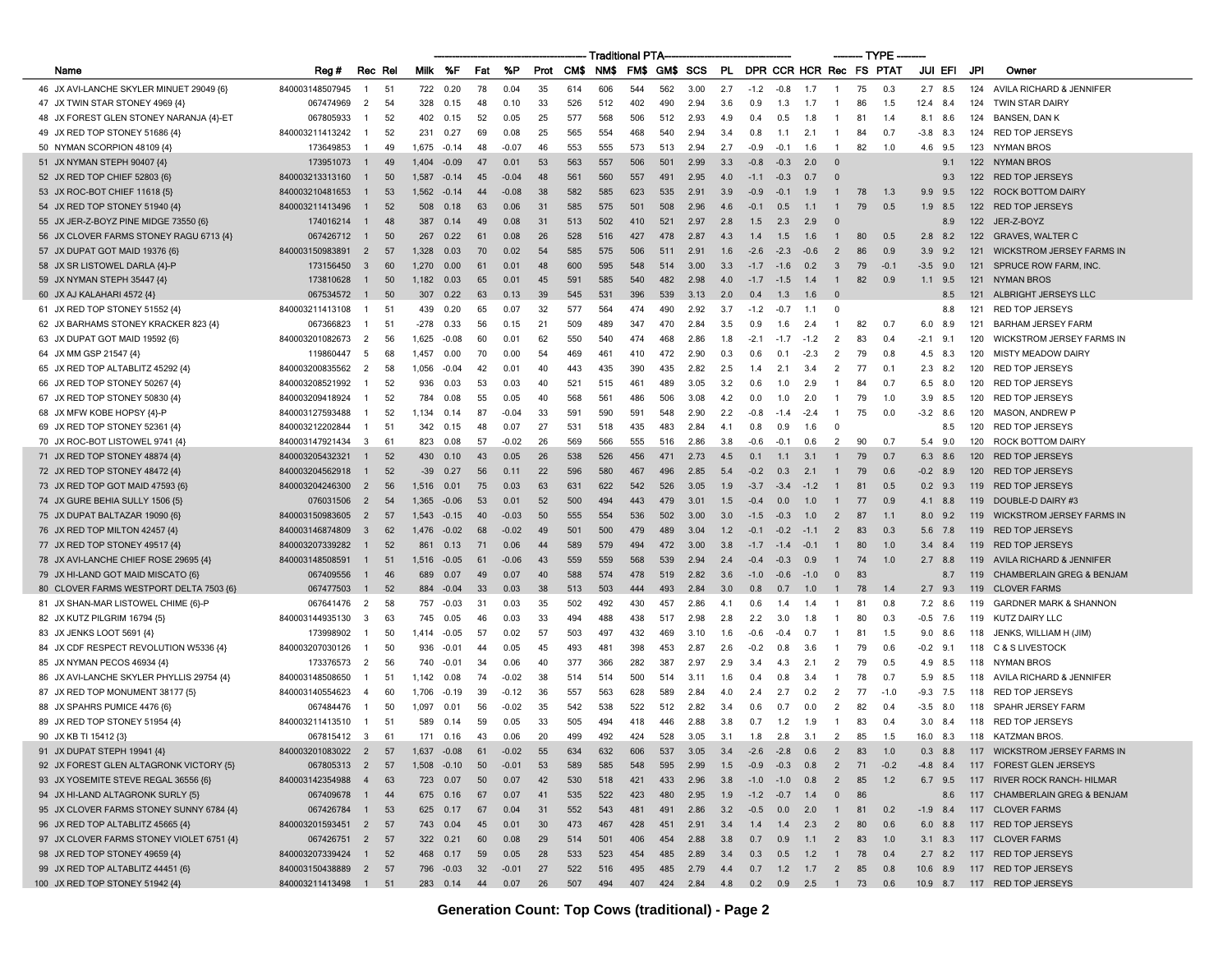|                                           |                      |                |      |               |           |     |               |      |      | Traditional PTA |     |      |              |     |                  |        |                         |                | — TYPE |        |                 |     |                                       |
|-------------------------------------------|----------------------|----------------|------|---------------|-----------|-----|---------------|------|------|-----------------|-----|------|--------------|-----|------------------|--------|-------------------------|----------------|--------|--------|-----------------|-----|---------------------------------------|
| Name                                      | Reg #                | Rec Rel        |      | Milk          | %F        | Fat | %P            | Prot | CM\$ | NMS.            | FMS | GM\$ | scs          | PL  |                  |        | DPR CCR HCR Rec FS PTAT |                |        |        | JUI EFI         | JPI | Owner                                 |
| 46 JX AVI-LANCHE SKYLER MINUET 29049 {6}  | 840003148507945      | -1             | -51  | 722           | 0.20      | 78  | 0.04          | 35   | 614  | 606             | 544 | 562  | 3.00         | 2.7 | $-1.2$           | $-0.8$ | $-1.7$                  | $\mathbf{1}$   | 75     | 0.3    | $2.7$ 8.5       | 124 | AVILA RICHARD & JENNIFER              |
| 47 JX TWIN STAR STONEY 4969 {4}           | 067474969            | $\overline{2}$ | 54   | 328           | 0.15      | 48  | 0.10          | 33   | 526  | 512             | 402 | 490  | 2.94         | 3.6 | 0.9              | 1.3    | 1.7                     | -1             | 86     | 1.5    | 12.4 8.4        | 124 | <b>TWIN STAR DAIRY</b>                |
| 48 JX FOREST GLEN STONEY NARANJA {4}-ET   | 067805933            | -1             | 52   | 402           | 0.15      | 52  | 0.05          | 25   | 577  | 568             | 506 | 512  | 2.93         | 4.9 | 0.4              | 0.5    | 1.8                     | -1             | 81     | 1.4    | 8.1<br>8.6      | 124 | <b>BANSEN, DAN K</b>                  |
| 49 JX RED TOP STONEY 51686 {4}            | 840003211413242      | -1             | 52   | 231           | 0.27      | 69  | 0.08          | 25   | 565  | 554             | 468 | 540  | 2.94         | 3.4 | 0.8              | 1.1    | 2.1                     | $\overline{1}$ | 84     | 0.7    | $-3.8$<br>8.3   | 124 | <b>RED TOP JERSEYS</b>                |
| 50 NYMAN SCORPION 48109 {4}               | 173649853            | -1             | 49   | 1,675         | $-0.14$   | 48  | $-0.07$       | 46   | 553  | 555             | 573 | 513  | 2.94         | 2.7 | -0.9             | $-0.1$ | 1.6                     | $\mathbf{1}$   | 82     | 1.0    | 4.6 9.5         | 123 | NYMAN BROS                            |
| 51 JX NYMAN STEPH 90407 {4}               | 173951073            |                | 49   | 1,404         | -0.09     | 47  | 0.01          | 53   | 563  | 557             | 506 | 501  | 2.99         | 3.3 | $-0.8$           | $-0.3$ | 2.0                     | $\Omega$       |        |        | 9.1             | 122 | <b>NYMAN BROS</b>                     |
| 52 JX RED TOP CHIEF 52803 {6}             | 840003213313160      | $\overline{1}$ | 50   | 1,587         | $-0.14$   | 45  | $-0.04$       | 48   | 561  | 560             | 557 | 491  | 2.95         | 4.0 | $-1.1$           | $-0.3$ | 0.7                     | $\Omega$       |        |        | 9.3             | 122 | <b>RED TOP JERSEYS</b>                |
| 53 JX ROC-BOT CHIEF 11618 {5}             | 840003210481653      | $\mathbf{1}$   | 53   | 1,562         | $-0.14$   | 44  | -0.08         | 38   | 582  | 585             | 623 | 535  | 2.91         | 3.9 | -0.9             | $-0.1$ | 1.9                     |                | 78     | 1.3    | $9.9$ $9.5$     | 122 | <b>ROCK BOTTOM DAIRY</b>              |
| 54 JX RED TOP STONEY 51940 {4}            | 840003211413496      | $\mathbf{1}$   | 52   | 508           | 0.18      | 63  | 0.06          | 31   | 585  | 575             | 501 | 508  | 2.96         | 4.6 | $-0.1$           | 0.5    | 1.1                     |                | 79     | 0.5    | $1.9$ 8.5       | 122 | <b>RED TOP JERSEYS</b>                |
| 55 JX JER-Z-BOYZ PINE MIDGE 73550 {6}     | 174016214            | $\overline{1}$ | 48   | 387           | 0.14      | 49  | 0.08          | 31   | 513  | 502             | 410 | 521  | 2.97         | 2.8 | 1.5              | 2.3    | 2.9                     | $\Omega$       |        |        | 8.9             | 122 | JER-Z-BOYZ                            |
| 56 JX CLOVER FARMS STONEY RAGU 6713 {4}   | 067426712            | $\overline{1}$ | 50   | 267           | 0.22      | 61  | 0.08          | 26   | 528  | 516             | 427 | 478  | 2.87         | 4.3 | 1.4              | 1.5    | 1.6                     | -1             | 80     | 0.5    | $2.8$ $8.2$     | 122 | <b>GRAVES, WALTER C</b>               |
| 57 JX DUPAT GOT MAID 19376 {6}            | 840003150983891      | $\overline{2}$ | 57   | 1,328         | 0.03      | 70  | 0.02          | 54   | 585  | 575             | 506 | 511  | 2.91         | 1.6 | $-2.6$           | $-2.3$ | $-0.6$                  | $\overline{2}$ | 86     | 0.9    | $3.9$ $9.2$     | 121 | <b>WICKSTROM JERSEY FARMS IN</b>      |
| 58 JX SR LISTOWEL DARLA {4}-P             | 173156450            | 3              | 60   | 1,270         | 0.00      | 61  | 0.01          | 48   | 600  | 595             | 548 | 514  | 3.00         | 3.3 | $-1.7$           | $-1.6$ | 0.2                     | 3              | 79     | $-0.1$ | $-3.5$<br>9.0   | 121 | SPRUCE ROW FARM, INC.                 |
| 59 JX NYMAN STEPH 35447 {4}               | 173810628            | $\overline{1}$ | 50   | 1,182         | 0.03      | 65  | 0.01          | 45   | 591  | 585             | 540 | 482  | 2.98         | 4.0 | $-1.7$           | $-1.5$ | 1.4                     | $\mathbf{1}$   | 82     | 0.9    | $1.1$ 9.5       | 121 | <b>NYMAN BROS</b>                     |
| 60 JX AJ KALAHARI 4572 {4}                | 067534572            |                | 50   | 307           | 0.22      | 63  | 0.13          | 39   | 545  | 531             | 396 | 539  | 3.13         | 2.0 | 0.4              | 1.3    | 1.6                     | $\Omega$       |        |        | 8.5             | 121 | ALBRIGHT JERSEYS LLC                  |
| 61 JX RED TOP STONEY 51552 {4}            | 840003211413108      | $\mathbf{1}$   | 51   | 439           | 0.20      | 65  | 0.07          | 32   | 577  | 564             | 474 | 490  | 2.92         | 3.7 | $-1.2$           | $-0.7$ | 1.1                     | $\Omega$       |        |        | 8.8             | 121 | <b>RED TOP JERSEYS</b>                |
| 62 JX BARHAMS STONEY KRACKER 823 {4}      | 067366823            | $\mathbf{1}$   | 51   | -278          | 0.33      | 56  | 0.15          | 21   | 509  | 489             | 347 | 470  | 2.84         | 3.5 | 0.9              | 1.6    | 2.4                     | $\mathbf{1}$   | 82     | 0.7    | 6.0<br>8.9      | 121 | <b>BARHAM JERSEY FARM</b>             |
| 63 JX DUPAT GOT MAID 19592 {6}            | 840003201082673      | 2              | 56   | 1,625         | $-0.08$   | 60  | 0.01          | 62   | 550  | 540             | 474 | 468  | 2.86         | 1.8 | $-2.1$           | $-1.7$ | $-1.2$                  | 2              | 83     | 0.4    | $-2.1$<br>- 9.1 | 120 | WICKSTROM JERSEY FARMS IN             |
| 64 JX MM GSP 21547 {4}                    | 119860447            | -5             | 68   | 1,457         | 0.00      | 70  | 0.00          | 54   | 469  | 461             | 410 | 472  | 2.90         | 0.3 | 0.6              | 0.1    | $-2.3$                  | 2              | 79     | 0.8    | 4.5<br>8.3      | 120 | <b>MISTY MEADOW DAIRY</b>             |
| 65 JX RED TOP ALTABLITZ 45292 {4}         | 840003200835562      | $\overline{2}$ | 58   | 1.056         | -0.04     | 42  | $0.0^{\circ}$ | 40   | 443  | 435             | 390 | 435  | 2.82         | 2.5 | 1.4              | 2.1    | 3.4                     | 2              | 77     | 0.1    | 2.3<br>8.2      | 120 | <b>RED TOP JERSEYS</b>                |
| 66 JX RED TOP STONEY 50267 {4}            | 840003208521992      |                | 52   | 936           | 0.03      | 53  | 0.03          | 40   | 521  | 515             | 461 | 489  | 3.05         | 3.2 | 0.6              | 1.0    | 2.9                     | -1             | 84     | 0.7    | 6.5 8.0         | 120 | <b>RED TOP JERSEYS</b>                |
| 67 JX RED TOP STONEY 50830 {4}            | 840003209418924      |                | 52   | 784           | 0.08      | 55  | 0.05          | 40   | 568  | 561             | 486 | 506  | 3.08         | 4.2 | 0.0              | 1.0    | 2.0                     | -1             | 79     | 1.0    | 3.9<br>8.5      | 120 | <b>RED TOP JERSEYS</b>                |
| 68 JX MFW KOBE HOPSY {4}-P                | 840003127593488      |                | 52   | 1.134         | 0.14      | 87  | $-0.04$       | 33   | 591  | 590             | 591 | 548  | 2.90         | 2.2 | $-0.8$           | $-1.4$ | $-2.4$                  | $\mathbf{1}$   | 75     | 0.0    | $-3.2$ 8.6      | 120 | <b>MASON, ANDREW P</b>                |
| 69 JX RED TOP STONEY 52361 {4}            | 840003212202844      | -1             | 51   | 342           | 0.15      | 48  | 0.07          | 27   | 531  | 518             | 435 | 483  | 2.84         | 4.1 | 0.8              | 0.9    | 1.6                     | $\Omega$       |        |        | 8.5             | 120 | <b>RED TOP JERSEYS</b>                |
| 70 JX ROC-BOT LISTOWEL 9741 {4}           | 840003147921434      | 3              | 61   | 823           | 0.08      | 57  | $-0.02$       | 26   | 569  | 566             | 555 | 516  | 2.86         | 3.8 | -0.6             | $-0.1$ | 0.6                     | 2              | 90     | 0.7    | 5.4<br>9.0      | 120 | ROCK BOTTOM DAIRY                     |
| 71 JX RED TOP STONEY 48874 {4}            | 840003205432321      |                | 52   | 430           | 0.10      | 43  | 0.05          | 26   | 538  | 526             | 456 | 471  | 2.73         | 4.5 | 0.1              | 1.1    | 3.1                     |                | 79     | 0.7    | 6.3<br>- 8.6    | 120 | <b>RED TOP JERSEYS</b>                |
| 72 JX RED TOP STONEY 48472 {4}            | 840003204562918      |                | 52   | $-39$         | 0.27      | 56  | 0.11          | 22   | 596  | 580             | 467 | 496  | 2.85         | 5.4 | $-0.2$           | 0.3    | 2.1                     |                | 79     | 0.6    | $-0.2$ 8.9      | 120 | <b>RED TOP JERSEYS</b>                |
| 73 JX RED TOP GOT MAID 47593 {6}          | 840003204246300      | $\overline{2}$ | 56   | 1,516         | 0.01      | 75  | 0.03          | 63   | 631  | 622             | 542 | 526  | 3.05         | 1.9 | $-3.7$           | $-3.4$ | $-1.2$                  |                | 81     | 0.5    | $0.2$ 9.3       | 119 | <b>RED TOP JERSEYS</b>                |
| 74 JX GURE BEHIA SULLY 1506 {5}           | 076031506            | $\overline{2}$ | 54   | 1,365         | $-0.06$   | 53  | 0.01          | 52   | 500  | 494             | 443 | 479  | 3.01         | 1.5 | $-0.4$           | 0.0    | 1.0                     |                | 77     | 0.9    | 4.1 8.8         | 119 | DOUBLE-D DAIRY #3                     |
| 75 JX DUPAT BALTAZAR 19090 {6}            | 840003150983605      | $\overline{2}$ | 57   | 1,543         | $-0.15$   | 40  | $-0.03$       | 50   | 555  | 554             | 536 | 502  | 3.00         | 3.0 | $-1.5$           | $-0.3$ | 1.0                     | $\overline{2}$ | 87     | 1.1    | 9.2<br>8.0      | 119 | <b>WICKSTROM JERSEY FARMS IN</b>      |
| 76 JX RED TOP MILTON 42457 {4}            | 840003146874809      | $\mathbf{3}$   | 62   | 1,476         | $-0.02$   | 68  | $-0.02$       | 49   | 501  | 500             | 479 | 489  | 3.04         | 1.2 | -0.1             | $-0.2$ | $-1.1$                  | $\overline{2}$ | 83     | 0.3    | 5.6 7.8         | 119 | <b>RED TOP JERSEYS</b>                |
| 77 JX RED TOP STONEY 49517 {4}            | 840003207339282      | $\mathbf{1}$   | 52   | 861           | 0.13      | 71  | 0.06          | 44   | 589  | 579             | 494 | 472  | 3.00         | 3.8 | $-1.7$           | $-1.4$ | $-0.1$                  |                | 80     | 1.0    | 3.4<br>8.4      | 119 | <b>RED TOP JERSEYS</b>                |
| 78 JX AVI-LANCHE CHIEF ROSE 29695 {4}     | 840003148508591      | $\overline{1}$ | 51   | 1,516         | $-0.05$   | 61  | -0.06         | 43   | 559  | 559             | 568 | 539  | 2.94         | 2.4 | $-0.4$           | $-0.3$ | 0.9                     | $\mathbf{1}$   | 74     | 1.0    | $2.7$ 8.8       | 119 | AVILA RICHARD & JENNIFER              |
| 79 JX HI-LAND GOT MAID MISCATO {6}        | 067409556            |                | 46   | 689           | 0.07      | 49  | 0.07          | 40   | 588  | 574             | 478 | 519  | 2.82         | 3.6 | $-1.0$           | $-0.6$ | $-1.0$                  | $\mathbf 0$    | 83     |        | 8.7             | 119 | CHAMBERLAIN GREG & BENJAM             |
| 80 CLOVER FARMS WESTPORT DELTA 7503 {6}   | 067477503            |                | 52   | 884           | $-0.04$   | 33  | 0.03          | 38   | 513  | 503             | 444 | 493  | 2.84         | 3.0 | 0.8              | 0.7    | 1.0                     |                | 78     | 1.4    | $2.7$ 9.3       | 119 | <b>CLOVER FARMS</b>                   |
| 81 JX SHAN-MAR LISTOWEL CHIME {6}-P       | 067641476            | 2              | 58   | 757           | $-0.03$   | -31 | 0.03          | 35   | 502  | 492             | 430 | 457  | 2.86         | 4.1 | 0.6              | 1.4    | 1.4                     | 1              | 81     | 0.8    | 7.2 8.6         | 119 | <b>GARDNER MARK &amp; SHANNON</b>     |
| 82 JX KUTZ PILGRIM 16794 {5}              | 840003144935130      | -3             | 63   | 745           | 0.05      | 46  | 0.03          | 33   | 494  | 488             | 438 | 517  | 2.98         | 2.8 | 2.2              | 3.0    | 1.8                     | -1             | 80     | 0.3    | -0.5<br>7.6     | 119 | <b>KUTZ DAIRY LLC</b>                 |
| 83 JX JENKS LOOT 5691 {4}                 | 173998902            |                | 50   | 1,414         | -0.05     | 57  | 0.02          | 57   | 503  | 497             | 432 | 469  | 3.10         | 1.6 | $-0.6$           | $-0.4$ | 0.7                     | -1             | 81     | 1.5    | 8.6<br>9.0      | 118 | JENKS, WILLIAM H (JIM)                |
| 84 JX CDF RESPECT REVOLUTION W5336 {4}    | 840003207030126      |                | 50   | 936           | -0.01     | 44  | 0.05          | 45   | 493  | 481             | 398 | 453  | 2.87         | 2.6 | $-0.2$           | 0.8    | 3.6                     |                | 79     | 0.6    | -0.2<br>9.1     | 118 | <b>C &amp; S LIVESTOCK</b>            |
| 85 JX NYMAN PECOS 46934 {4}               | 173376573            | 2              | 56   | 740           | -0.01     | 34  | 0.06          | 40   | 377  | 366             | 282 | 387  | 2.97         | 2.9 | 3.4              | 4.3    | 2.1                     | 2              | 79     | 0.5    | 4.9<br>8.5      | 118 | NYMAN BROS                            |
| 86 JX AVI-LANCHE SKYLER PHYLLIS 29754 {4} | 840003148508650      | -1             | 51   | 1,142         | 0.08      | 74  | $-0.02$       | 38   | 514  | 514             | 500 | 514  | 3.11         | 1.6 | 0.4              | 0.8    | 3.4                     | -1             | 78     | 0.7    | 8.5<br>5.9      | 118 | AVILA RICHARD & JENNIFER              |
| 87 JX RED TOP MONUMENT 38177 (5)          | 840003140554623      | $\overline{4}$ | 60   | 1,706         | -0.19     | 39  | $-0.12$       | 36   | 557  | 563             | 628 | 589  | 2.84         | 4.0 | 2.4              | 2.7    | 0.2                     | 2              | 77     | $-1.0$ | 7.5<br>-9.3     | 118 | <b>RED TOP JERSEYS</b>                |
| 88 JX SPAHRS PUMICE 4476 {6}              | 067484476            | $\mathbf{1}$   | 50   | 1.097         | 0.01      | 56  | $-0.02$       | 35   | 542  | 538             | 522 | 512  | 2.82         | 3.4 | 0.6              | 0.7    | 0.0                     | 2              | 82     | 0.4    | -3.5<br>8.0     | 118 | SPAHR JERSEY FARM                     |
| 89 JX RED TOP STONEY 51954 {4}            | 840003211413510      |                | 51   | 589           | በ 14      | 59  | 0.05          | 33   | 505  | 494             | 418 | 446  | 2.88         | 3.8 | 0.7              | 1.2    | 1.9                     | -1             | 83     | 0.4    | 3.0<br>8.4      | 118 | <b>RED TOP JERSEYS</b>                |
| 90 JX KB TI 15412 {3}                     | 067815412            | - 3            | 61   | 171           | 0.16      | 43  | 0.06          | 20   | 499  | 492             | 424 | 528  | 3.05         | 3.1 | 1.8              | 2.8    | - 3.1                   | $\overline{2}$ | 85     | 1.5    | 16.0<br>- 8.3   |     | 118 KATZMAN BROS.                     |
| 91 JX DUPAT STEPH 19941 {4}               | 840003201083022 2 57 |                |      | 1,637 -0.08   |           | 61  | $-0.02$       | 55   | 634  | 632             | 606 | 537  | 3.05         | 3.4 | $-2.6$           |        | $-2.8$ 0.6 2            |                |        | 83 1.0 |                 |     | 0.3 8.8 117 WICKSTROM JERSEY FARMS IN |
| 92 JX FOREST GLEN ALTAGRONK VICTORY {5}   | 067805313 2 57       |                |      | $1,508 -0.10$ |           | 50  | $-0.01$       | 53   | 589  | 585             | 548 | 595  | 2.99         | 1.5 | $-0.9$           | $-0.3$ | 0.8                     | $\overline{2}$ | 71     | $-0.2$ | $-4.8$ 8.4      |     | 117 FOREST GLEN JERSEYS               |
| 93 JX YOSEMITE STEVE REGAL 36556 {6}      | 840003142354988      | $\overline{4}$ | 63   |               | 723 0.07  | 50  | 0.07          | 42   | 530  | 518             | 421 | 433  | 2.96         | 3.8 | $-1.0$           | $-1.0$ | 0.8                     | $\overline{2}$ | 85     | 1.2    | 6.7 9.5         |     | 117 RIVER ROCK RANCH- HILMAR          |
| 94 JX HI-LAND ALTAGRONK SURLY {5}         | 067409678            | $\overline{1}$ | 44   |               | 675 0.16  | 67  | 0.07          | 41   | 535  | 522             | 423 | 480  | 2.95         | 1.9 | $-1.2 -0.7$      |        | 1.4                     | $\mathbf 0$    | 86     |        | 8.6             | 117 | <b>CHAMBERLAIN GREG &amp; BENJAM</b>  |
| 95 JX CLOVER FARMS STONEY SUNNY 6784 {4}  | 067426784 1          |                | 53   |               | 625 0.17  | 67  | 0.04          | 31   | 552  | 543             | 481 | 491  | 2.86         | 3.2 | $-0.5$           | 0.0    | 2.0                     | $\mathbf{1}$   | 81     | 0.2    | $-1.9$ 8.4      |     | 117 CLOVER FARMS                      |
| 96 JX RED TOP ALTABLITZ 45665 {4}         | 840003201593451      | $\overline{2}$ | - 57 |               | 743 0.04  | 45  | 0.01          | 30   | 473  | 467             | 428 | 451  | 2.91         | 3.4 | 1.4              | 1.4    | 2.3                     | $\overline{2}$ | 80     | 0.6    | $6.0$ $8.8$     |     | 117 RED TOP JERSEYS                   |
| 97 JX CLOVER FARMS STONEY VIOLET 6751 {4} | 067426751 2          |                | - 57 |               | 322 0.21  | 60  | 0.08          | 29   | 514  | 501             | 406 | 454  | 2.88         | 3.8 | 0.7              | 0.9    | 1.1                     | $\overline{2}$ | 83     | 1.0    | $3.1\quad 8.3$  |     | 117 CLOVER FARMS                      |
| 98 JX RED TOP STONEY 49659 {4}            | 840003207339424 1    |                | 52   | 468           | 0.17      | 59  | 0.05          | 28   | 533  | 523             | 454 | 485  | 2.89         | 3.4 | 0.3              | 0.5    | 1.2                     | $\overline{1}$ | 78     | 0.4    |                 |     | 2.7 8.2 117 RED TOP JERSEYS           |
| 99 JX RED TOP ALTABLITZ 44451 {6}         | 840003150438889 2 57 |                |      |               | 796 -0.03 | 32  | $-0.01$       | 27   | 522  | 516             | 495 | 485  | 2.79         | 4.4 |                  |        | $0.7$ 1.2 1.7 2         |                | 85     | 0.8    |                 |     | 10.6 8.9 117 RED TOP JERSEYS          |
| 100 JX RED TOP STONEY 51942 {4}           | 840003211413498 1 51 |                |      |               | 283 0.14  | 44  | 0.07          | 26   | 507  | 494             | 407 |      | 424 2.84 4.8 |     | 0.2 0.9 2.5 1 73 |        |                         |                |        | 0.6    |                 |     | 10.9 8.7 117 RED TOP JERSEYS          |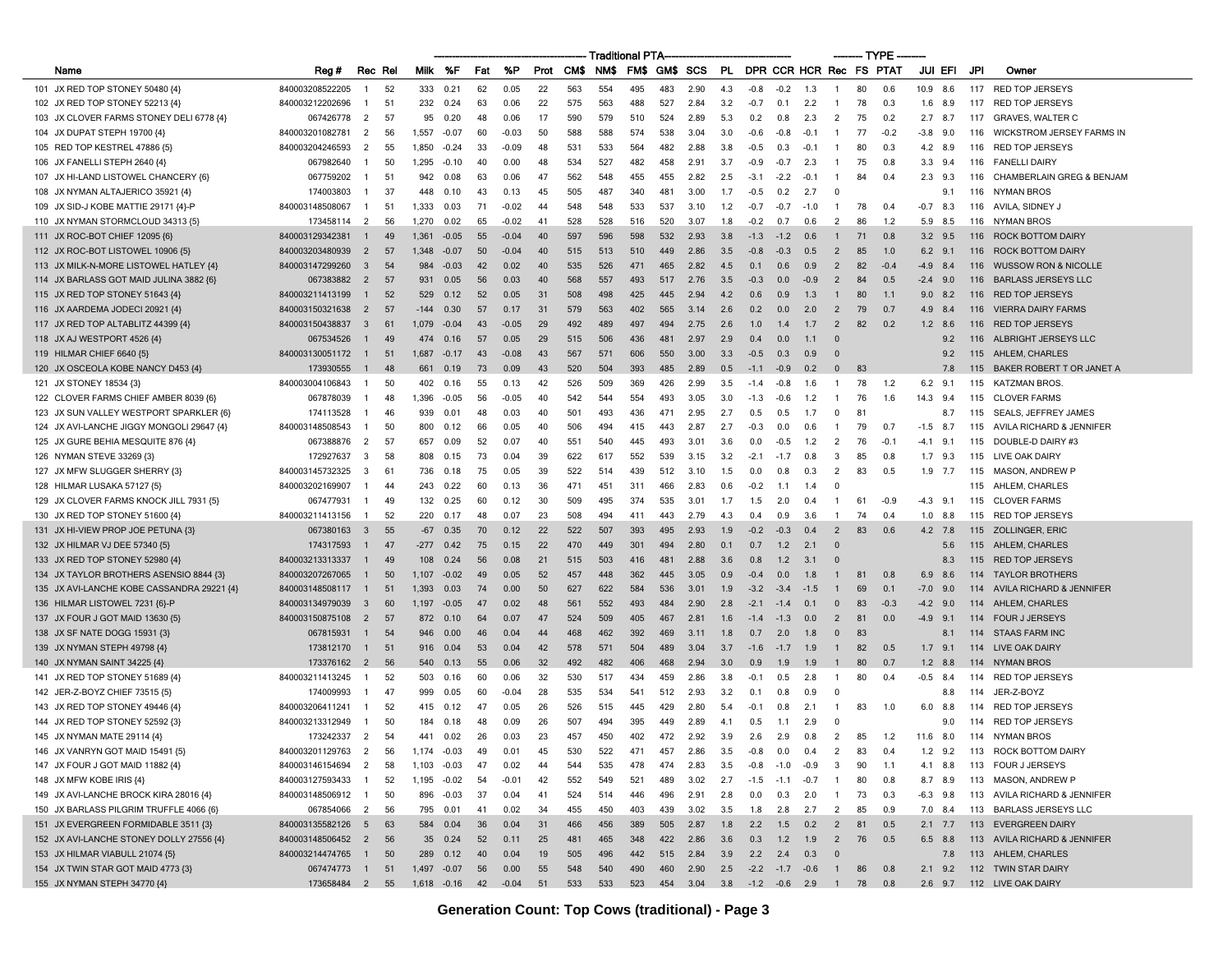|                                            |                   |                         |         |             |                      |     |         |      |      | Traditional PTA |      |     |                                             |     |                         |        |        |                |    | — TYPE |                |     |                                      |
|--------------------------------------------|-------------------|-------------------------|---------|-------------|----------------------|-----|---------|------|------|-----------------|------|-----|---------------------------------------------|-----|-------------------------|--------|--------|----------------|----|--------|----------------|-----|--------------------------------------|
| Name                                       | Reg #             |                         | Rec Rel | Milk        | %F                   | Fat | %P      | Prot | CM\$ | NM\$            | FM\$ |     | GM\$ SCS                                    | PL. | DPR CCR HCR Rec FS PTAT |        |        |                |    |        | JUI EFI        | JPI | Owner                                |
| 101 JX RED TOP STONEY 50480 {4}            | 840003208522205   | -1                      | 52      | 333         | 0.21                 | 62  | 0.05    | 22   | 563  | 554             | 495  | 483 | 2.90                                        | 4.3 | $-0.8$                  | $-0.2$ | 1.3    | -1             | 80 | 0.6    | 10.9 8.6       | 117 | <b>RED TOP JERSEYS</b>               |
| 102 JX RED TOP STONEY 52213 {4}            | 840003212202696   | -1                      | 51      | 232         | 0.24                 | 63  | 0.06    | 22   | 575  | 563             | 488  | 527 | 2.84                                        | 3.2 | $-0.7$                  | 0.1    | 2.2    | -1             | 78 | 0.3    | 1.6 8.9        | 117 | <b>RED TOP JERSEYS</b>               |
| 103 JX CLOVER FARMS STONEY DELI 6778 {4}   | 067426778         | $\overline{2}$          | 57      | 95          | 0.20                 | 48  | 0.06    | 17   | 590  | 579             | 510  | 524 | 2.89                                        | 5.3 | 0.2                     | 0.8    | 2.3    | $\overline{2}$ | 75 | 0.2    | $2.7$ 8.7      | 117 | <b>GRAVES, WALTER C</b>              |
| 104 JX DUPAT STEPH 19700 {4}               | 840003201082781   | $\overline{c}$          | 56      | 1.557       | -0.07                | 60  | $-0.03$ | 50   | 588  | 588             | 574  | 538 | 3.04                                        | 3.0 | $-0.6$                  | $-0.8$ | $-0.1$ | -1             | 77 | $-0.2$ | $-3.8$ 9.0     | 116 | <b>WICKSTROM JERSEY FARMS IN</b>     |
| 105 RED TOP KESTREL 47886 {5}              | 840003204246593   | $\overline{2}$          | 55      | 1,850       | $-0.24$              | 33  | -0.09   | 48   | 531  | 533             | 564  | 482 | 2.88                                        | 3.8 | $-0.5$                  | 0.3    | $-0.1$ | -1             | 80 | 0.3    | 4.2 8.9        | 116 | <b>RED TOP JERSEYS</b>               |
| 106 JX FANELLI STEPH 2640 {4}              | 067982640         | 1                       | 50      | 1,295       | $-0.10$              | 40  | 0.00    | 48   | 534  | 527             | 482  | 458 | 2.91                                        | 3.7 | $-0.9$                  | $-0.7$ | 2.3    |                | 75 | 0.8    | 3.3<br>9.4     | 116 | <b>FANELLI DAIRY</b>                 |
| 107 JX HI-LAND LISTOWEL CHANCERY {6}       | 067759202         | $\mathbf{1}$            | 51      | 942         | 0.08                 | 63  | 0.06    | 47   | 562  | 548             | 455  | 455 | 2.82                                        | 2.5 | $-3.1$                  | $-2.2$ | $-0.1$ | -1             | 84 | 0.4    | $2.3$ 9.3      | 116 | <b>CHAMBERLAIN GREG &amp; BENJAM</b> |
| 108 JX NYMAN ALTAJERICO 35921 {4}          | 174003803         | -1                      | 37      | 448         | 0.10                 | 43  | 0.13    | 45   | 505  | 487             | 340  | 481 | 3.00                                        | 1.7 | $-0.5$                  | 0.2    | 2.7    | $\Omega$       |    |        | 9.1            | 116 | NYMAN BROS                           |
| 109 JX SID-J KOBE MATTIE 29171 {4}-P       | 840003148508067   | $\mathbf{1}$            | 51      | 1,333       | 0.03                 | 71  | $-0.02$ | 44   | 548  | 548             | 533  | 537 | 3.10                                        | 1.2 | $-0.7$                  | $-0.7$ | $-1.0$ | -1             | 78 | 0.4    | $-0.7$<br>8.3  | 116 | AVILA, SIDNEY J                      |
| 110 JX NYMAN STORMCLOUD 34313 (5)          | 173458114         | 2                       | 56      | 1.270       | 0.02                 | 65  | $-0.02$ | 41   | 528  | 528             | 516  | 520 | 3.07                                        | 1.8 | $-0.2$                  | 0.7    | 0.6    | $\overline{2}$ | 86 | 1.2    | 5.9 8.5        | 116 | NYMAN BROS                           |
| 111 JX ROC-BOT CHIEF 12095 {6}             | 840003129342381   | -1                      | 49      | 1,361       | $-0.05$              | 55  | -0.04   | 40   | 597  | 596             | 598  | 532 | 2.93                                        | 3.8 | $-1.3$                  | $-1.2$ | 0.6    |                | 71 | 0.8    | $3.2$ $9.5$    | 116 | <b>ROCK BOTTOM DAIRY</b>             |
| 112 JX ROC-BOT LISTOWEL 10906 {5}          | 840003203480939   | $\overline{2}$          | 57      | 1,348       | $-0.07$              | 50  | -0.04   | 40   | 515  | 513             | 510  | 449 | 2.86                                        | 3.5 | $-0.8$                  | $-0.3$ | 0.5    | $\overline{2}$ | 85 | 1.0    | $6.2$ 9.1      | 116 | <b>ROCK BOTTOM DAIRY</b>             |
| 113 JX MILK-N-MORE LISTOWEL HATLEY {4}     | 840003147299260   | $\mathbf{3}$            | 54      | 984         | $-0.03$              | 42  | 0.02    | 40   | 535  | 526             | 471  | 465 | 2.82                                        | 4.5 | 0.1                     | 0.6    | 0.9    | $\overline{2}$ | 82 | $-0.4$ | $-4.9$<br>8.4  | 116 | <b>WUSSOW RON &amp; NICOLLE</b>      |
| 114 JX BARLASS GOT MAID JULINA 3882 {6}    | 067383882         | $\overline{2}$          | 57      | 931         | 0.05                 | 56  | 0.03    | 40   | 568  | 557             | 493  | 517 | 2.76                                        | 3.5 | $-0.3$                  | 0.0    | $-0.9$ | $\overline{2}$ | 84 | 0.5    | $-2.4$ 9.0     | 116 | <b>BARLASS JERSEYS LLC</b>           |
| 115 JX RED TOP STONEY 51643 {4}            | 840003211413199   | -1                      | 52      | 529         | 0.12                 | 52  | 0.05    | 31   | 508  | 498             | 425  | 445 | 2.94                                        | 4.2 | 0.6                     | 0.9    | 1.3    | $\mathbf{1}$   | 80 | 1.1    | 9.0<br>8.2     | 116 | <b>RED TOP JERSEYS</b>               |
| 116 JX AARDEMA JODECI 20921 {4}            | 840003150321638   | $\overline{2}$          | 57      | $-144$      | 0.30                 | 57  | 0.17    | 31   | 579  | 563             | 402  | 565 | 3.14                                        | 2.6 | 0.2                     | 0.0    | 2.0    | $\overline{2}$ | 79 | 0.7    | 4.9<br>8.4     | 116 | <b>VIERRA DAIRY FARMS</b>            |
| 117 JX RED TOP ALTABLITZ 44399 {4}         | 840003150438837   | $\overline{\mathbf{3}}$ | 61      | 1,079       | $-0.04$              | 43  | $-0.05$ | 29   | 492  | 489             | 497  | 494 | 2.75                                        | 2.6 | 1.0                     | 1.4    | 1.7    | $\overline{2}$ | 82 | 0.2    | $1.2$ 8.6      | 116 | <b>RED TOP JERSEYS</b>               |
| 118 JX AJ WESTPORT 4526 {4}                | 067534526         | -1                      | 49      | 474         | 0.16                 | 57  | 0.05    | 29   | 515  | 506             | 436  | 481 | 2.97                                        | 2.9 | 0.4                     | 0.0    | 1.1    | $\Omega$       |    |        | 9.2            | 116 | ALBRIGHT JERSEYS LLC                 |
| 119 HILMAR CHIEF 6640 {5}                  | 840003130051172   | $\mathbf{1}$            | 51      | 1,687       | $-0.17$              | 43  | $-0.08$ | 43   | 567  | 571             | 606  | 550 | 3.00                                        | 3.3 | $-0.5$                  | 0.3    | 0.9    |                |    |        | 9.2            | 115 | AHLEM, CHARLES                       |
| 120 JX OSCEOLA KOBE NANCY D453 {4}         | 173930555         | -1                      | 48      | 661         | 0.19                 | 73  | 0.09    | 43   | 520  | 504             | 393  | 485 | 2.89                                        | 0.5 | $-1.1$                  | $-0.9$ | 0.2    | $\Omega$       | 83 |        | 7.8            | 115 | BAKER ROBERT T OR JANET A            |
| 121 JX STONEY 18534 {3}                    | 840003004106843   | -1                      | 50      | 402         | 0.16                 | 55  | 0.13    | 42   | 526  | 509             | 369  | 426 | 2.99                                        | 3.5 | $-1.4$                  | $-0.8$ | 1.6    | -1             | 78 | 1.2    | $6.2$ 9.1      | 115 | <b>KATZMAN BROS</b>                  |
| 122 CLOVER FARMS CHIEF AMBER 8039 {6}      | 067878039         | -1                      | 48      | 1,396       | $-0.05$              | 56  | -0.05   | 40   | 542  | 544             | 554  | 493 | 3.05                                        | 3.0 | $-1.3$                  | $-0.6$ | 1.2    |                | 76 | 1.6    | 14.3<br>9.4    | 115 | <b>CLOVER FARMS</b>                  |
| 123 JX SUN VALLEY WESTPORT SPARKLER {6}    | 174113528         | -1                      | 46      | 939         | 0.01                 | 48  | 0.03    | 40   | 501  | 493             | 436  | 471 | 2.95                                        | 2.7 | 0.5                     | 0.5    | 1.7    | $\Omega$       | 81 |        | 8.7            | 115 | SEALS, JEFFREY JAMES                 |
| 124 JX AVI-LANCHE JIGGY MONGOLI 29647 {4}  | 840003148508543   | -1                      | 50      | 800         | 0.12                 | 66  | 0.05    | 40   | 506  | 494             | 415  | 443 | 2.87                                        | 2.7 | $-0.3$                  | 0.0    | 0.6    | -1             | 79 | 0.7    | $-1.5$<br>8.7  | 115 | AVILA RICHARD & JENNIFER             |
| 125 JX GURE BEHIA MESQUITE 876 {4}         | 067388876         | $\overline{2}$          | 57      | 657         | 0.09                 | 52  | 0.07    | 40   | 551  | 540             | 445  | 493 | 3.01                                        | 3.6 | 0.0                     | $-0.5$ | 1.2    | $\overline{2}$ | 76 | -0.1   | -4.1<br>9.1    | 115 | DOUBLE-D DAIRY #3                    |
| 126 NYMAN STEVE 33269 {3}                  | 172927637         | 3                       | 58      | 808         | 0.15                 | 73  | 0.04    | 39   | 622  | 617             | 552  | 539 | 3.15                                        | 3.2 | $-2.1$                  | $-1.7$ | 0.8    | 3              | 85 | 0.8    | $1.7$ 9.3      | 115 | LIVE OAK DAIRY                       |
| 127 JX MFW SLUGGER SHERRY {3}              | 840003145732325   | -3                      | 61      | 736         | 0.18                 | 75  | 0.05    | 39   | 522  | 514             | 439  | 512 | 3.10                                        | 1.5 | 0.0                     | 0.8    | 0.3    | 2              | 83 | 0.5    | $1.9$ 7.7      | 115 | <b>MASON, ANDREW P</b>               |
| 128 HILMAR LUSAKA 57127 {5}                | 840003202169907   | -1                      | 44      | 243         | 0.22                 | 60  | 0.13    | 36   | 471  | 451             | 311  | 466 | 2.83                                        | 0.6 | $-0.2$                  | 1.1    | 1.4    | $\Omega$       |    |        |                | 115 | AHLEM, CHARLES                       |
| 129 JX CLOVER FARMS KNOCK JILL 7931 {5}    | 067477931         | -1                      | 49      | 132         | 0.25                 | 60  | 0.12    | 30   | 509  | 495             | 374  | 535 | 3.01                                        | 1.7 | 1.5                     | 2.0    | 0.4    |                | 6  | $-0.9$ | $-4.3$ 9.1     | 115 | <b>CLOVER FARMS</b>                  |
| 130 JX RED TOP STONEY 51600 {4}            | 840003211413156   | $\overline{1}$          | 52      | 220         | 0.17                 | 48  | 0.07    | 23   | 508  | 494             | 411  | 443 | 2.79                                        | 4.3 | 0.4                     | 0.9    | 3.6    | -1             | 74 | 0.4    | $1.0\quad 8.8$ | 115 | <b>RED TOP JERSEYS</b>               |
| 131 JX HI-VIEW PROP JOE PETUNA {3}         | 067380163         | $\overline{3}$          | 55      | $-67$       | 0.35                 | 70  | 0.12    | 22   | 522  | 507             | 393  | 495 | 2.93                                        | 1.9 | $-0.2$                  | $-0.3$ | 0.4    | $\overline{2}$ | 83 | 0.6    | $4.2$ 7.8      | 115 | ZOLLINGER, ERIC                      |
| 132 JX HILMAR VJ DEE 57340 {5]             | 174317593         | $\mathbf{1}$            | 47      | $-277$      | 0.42                 | 75  | 0.15    | 22   | 470  | 449             | 301  | 494 | 2.80                                        | 0.1 | 0.7                     | 1.2    | 2.1    | $\Omega$       |    |        | 5.6            | 115 | AHLEM, CHARLES                       |
| 133 JX RED TOP STONEY 52980 {4}            | 840003213313337   | $\overline{1}$          | 49      | 108         | 0.24                 | 56  | 0.08    | 21   | 515  | 503             | 416  | 481 | 2.88                                        | 3.6 | 0.8                     | 1.2    | 3.1    |                |    |        | 8.3            | 115 | <b>RED TOP JERSEYS</b>               |
| 134 JX TAYLOR BROTHERS ASENSIO 8844 {3}    | 840003207267065   | -1                      | 50      | 1,107       | $-0.02$              | 49  | 0.05    | 52   | 457  | 448             | 362  | 445 | 3.05                                        | 0.9 | $-0.4$                  | 0.0    | 1.8    |                | 81 | 0.8    | 6.9<br>8.6     | 114 | <b>TAYLOR BROTHERS</b>               |
| 135 JX AVI-LANCHE KOBE CASSANDRA 29221 {4} | 840003148508117   | -1                      | 51      | 1,393       | 0.03                 | 74  | 0.00    | 50   | 627  | 622             | 584  | 536 | 3.01                                        | 1.9 | $-3.2$                  | $-3.4$ | $-1.5$ |                | 69 | 0.1    | -7.0<br>9.0    | 114 | AVILA RICHARD & JENNIFER             |
| 136 HILMAR LISTOWEL 7231 {6}-P             | 840003134979039   | $\mathbf{3}$            | 60      | 1,197       | $-0.05$              | 47  | 0.02    | 48   | 561  | 552             | 493  | 484 | 2.90                                        | 2.8 | $-2.1$                  | $-1.4$ | 0.1    | $\mathbf{0}$   | 83 | $-0.3$ | $-4.2$ 9.0     | 114 | AHLEM, CHARLES                       |
| 137 JX FOUR J GOT MAID 13630 {5}           | 840003150875108   | $\overline{2}$          | 57      | 872         | 0.10                 | 64  | 0.07    | 47   | 524  | 509             | 405  | 467 | 2.81                                        | 1.6 | $-1.4$                  | $-1.3$ | 0.0    | $\overline{2}$ | 81 | 0.0    | -4.9<br>9.1    | 114 | <b>FOUR J JERSEYS</b>                |
| 138 JX SF NATE DOGG 15931 {3}              | 067815931         | $\overline{1}$          | 54      | 946         | 0.00                 | 46  | 0.04    | 44   | 468  | 462             | 392  | 469 | 3.11                                        | 1.8 | 0.7                     | 2.0    | 1.8    | $\mathbf{0}$   | 83 |        | 8.1            | 114 | <b>STAAS FARM INC</b>                |
| 139 JX NYMAN STEPH 49798 {4}               | 173812170         | $\mathbf{1}$            | 51      | 916         | 0.04                 | 53  | 0.04    | 42   | 578  | 571             | 504  | 489 | 3.04                                        | 3.7 | $-1.6$                  | $-1.7$ | 1.9    | $\mathbf{1}$   | 82 | 0.5    | 1.7<br>9.1     | 114 | LIVE OAK DAIRY                       |
| 140 JX NYMAN SAINT 34225 {4}               | 173376162         | $\overline{2}$          | 56      | 540         | 0.13                 | 55  | 0.06    | 32   | 492  | 482             | 406  | 468 | 2.94                                        | 3.0 | 0.9                     | 1.9    | 1.9    | $\mathbf{1}$   | 80 | 0.7    | $1.2$ 8.8      | 114 | <b>NYMAN BROS</b>                    |
| 141 JX RED TOP STONEY 51689 {4}            | 840003211413245   | -1                      | 52      | 503         | 0.16                 | 60  | 0.06    | 32   | 530  | 517             | 434  | 459 | 2.86                                        | 3.8 | $-0.1$                  | 0.5    | 2.8    | -1             | 80 | 0.4    | $-0.5$ 8.4     | 114 | RED TOP JERSEYS                      |
| 142 JER-Z-BOYZ CHIEF 73515 {5}             | 174009993         |                         | 47      | 999         | 0.05                 | 60  | -0.04   | 28   | 535  | 534             | 541  | 512 | 2.93                                        | 3.2 | 0.1                     | 0.8    | 0.9    |                |    |        | 8.8            | 114 | JER-Z-BOYZ                           |
| 143 JX RED TOP STONEY 49446 {4}            | 840003206411241   | -1                      | 52      | 415         | 0.12                 | 47  | 0.05    | 26   | 526  | 515             | 445  | 429 | 2.80                                        | 5.4 | $-0.1$                  | 0.8    | 2.1    | -1             | 83 | 1.0    | 6.0<br>8.8     | 114 | <b>RED TOP JERSEYS</b>               |
| 144 JX RED TOP STONEY 52592 {3}            | 840003213312949   |                         | 50      | 184         | 0.18                 | 48  | 0.09    | 26   | 507  | 494             | 395  | 449 | 2.89                                        | 4.1 | 0.5                     | 1.1    | 29     | $\Omega$       |    |        | 9.0            | 114 | <b>RED TOP JERSEYS</b>               |
| 145 JX NYMAN MATE 29114 {4}                | 173242337         | $\overline{2}$          | -54     | 441         | 0.02                 | 26  | 0.03    | 23   | 457  | 450             | 402  | 472 | 2.92                                        | 3.9 | 2.6                     | 2.9    | 0.8    | 2              | 85 | 1.2    | 11.6 8.0       | 114 | NYMAN BROS                           |
| 146 JX VANRYN GOT MAID 15491 {5}           | 840003201129763   | $\overline{2}$          | 56      |             |                      |     |         |      | 530  |                 | 471  |     |                                             |     | $-0.8$                  | 0.0    | 0.4    | $\overline{2}$ | 83 |        | 1.2            | 113 | ROCK BOTTOM DAIRY                    |
| 147 JX FOUR J GOT MAID 11882 {4}           | 840003146154694 2 |                         | 58      | 1,103 -0.03 |                      | 47  | 0.02    | 44   | 544  | 535             | 478  | 474 | 2.83                                        | 3.5 | $-0.8$                  | $-1.0$ | $-0.9$ | 3              | 90 | 1.1    | 4.1 8.8        |     | 113 FOUR J JERSEYS                   |
| 148 JX MFW KOBE IRIS {4}                   | 840003127593433   | -1                      | 52      | 1,195 -0.02 |                      | 54  | $-0.01$ | 42   | 552  | 549             | 521  | 489 | 3.02                                        | 2.7 | $-1.5$                  | $-1.1$ | $-0.7$ |                | 80 | 0.8    | 8.7 8.9        | 113 | MASON, ANDREW P                      |
| 149 JX AVI-LANCHE BROCK KIRA 28016 {4}     | 840003148506912 1 |                         | 50      | 896         | $-0.03$              | 37  | 0.04    | 41   | 524  | 514             | 446  | 496 | 2.91                                        | 2.8 | 0.0                     | 0.3    | 2.0    | $\overline{1}$ | 73 | 0.3    | $-6.3$ 9.8     | 113 | AVILA RICHARD & JENNIFER             |
| 150 JX BARLASS PILGRIM TRUFFLE 4066 {6}    | 067854066         | $\overline{2}$          | 56      | 795         | 0.01                 | 41  | 0.02    | 34   | 455  | 450             | 403  | 439 | 3.02                                        | 3.5 | 1.8                     | 2.8    | 2.7    | $\overline{2}$ | 85 | 0.9    | 7.0 8.4        |     | 113 BARLASS JERSEYS LLC              |
| 151 JX EVERGREEN FORMIDABLE 3511 {3}       | 840003135582126   | $-5$                    | 63      | 584         | 0.04                 | 36  | 0.04    | 31   | 466  | 456             | 389  | 505 | 2.87                                        | 1.8 | 2.2                     | 1.5    | 0.2    | $\overline{2}$ | 81 | 0.5    | $2.1$ 7.7      |     | 113 EVERGREEN DAIRY                  |
| 152 JX AVI-LANCHE STONEY DOLLY 27556 {4}   | 840003148506452 2 |                         | 56      |             | 35 0.24              | 52  | 0.11    | 25   | 481  | 465             | 348  | 422 | 2.86                                        | 3.6 | 0.3                     | 1.2    | 1.9    | $\overline{2}$ | 76 | 0.5    | $6.5$ $8.8$    |     | 113 AVILA RICHARD & JENNIFER         |
| 153 JX HILMAR VIABULL 21074 {5}            | 840003214474765   | $\overline{1}$          | 50      | 289         | 0.12                 | 40  | 0.04    | 19   | 505  | 496             | 442  | 515 | 2.84                                        | 3.9 | 2.2                     | 2.4    | 0.3    | $\Omega$       |    |        | 7.8            |     | 113 AHLEM, CHARLES                   |
| 154 JX TWIN STAR GOT MAID 4773 {3}         | 067474773 1       |                         | 51      | 1,497 -0.07 |                      | 56  | 0.00    | 55   | 548  | 540             | 490  | 460 | 2.90                                        | 2.5 | $-2.2$ $-1.7$ $-0.6$    |        |        | $\overline{1}$ | 86 | 0.8    | $2.1$ 9.2      |     | 112 TWIN STAR DAIRY                  |
| 155 JX NYMAN STEPH 34770 {4}               | 173658484 2 55    |                         |         |             | 1,618 -0.16 42 -0.04 |     |         | 51   | 533  | 533             | 523  |     | 454  3.04  3.8  -1.2  -0.6  2.9  1  78  0.8 |     |                         |        |        |                |    |        |                |     | 2.6 9.7 112 LIVE OAK DAIRY           |
|                                            |                   |                         |         |             |                      |     |         |      |      |                 |      |     |                                             |     |                         |        |        |                |    |        |                |     |                                      |